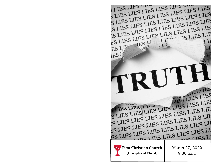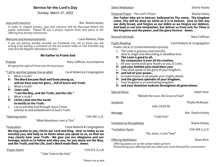#### **Service for the Lord's Day**

Sunday, March 27, 2022

#### Joys and Concerns **Rev. Sharla Hulsey** Rev. Sharla Hulsey

*In order to respect privacy, joys and concerns will be discussed before the public livestream. Please fill out a prayer request form and place in the offering tray during communion.* 

#### Welcome and Announcements Carol Roberts, Elder

*If you are joining Sunday worship via Facebook Live, let us know you are tuning in by leaving a comment on the live stream video or visit fccbutler.org and click the Register Attendance button.*

#### **We Gather to Praise God**

Prelude **Mary Coffman, Accompanist** Mary Coffman, Accompanist

*Bringing the Light of Christ into the Sanctuary*

\*Call to worship (please rise as able) Carol Roberts & Congregation

- L: What is truth?
- **P: The Word became flesh and lived among us, and we have seen his glory…full of Grace and Truth.**
- L: What is truth?
- **P: Jesus said, "I am the Way, and the Truth, and the Life."**
- L: What is truth?
- **P: Christ came into the world to testify to the Truth.**
- L: Let us worship God through Jesus Christ, witness to and embodiment of God's Truth.

\*Opening Hymn CH# 200 (1,3)

"What Wondrous Love Is This"

\*Invocation Carol Roberts & Congregation

**We sing praise to you, Christ our Lord and King. Hear us today as we worship you; and help us to listen when you speak to us, so that we may clearly hear your Truth. We give you our allegiance and our homage; teach us to follow and obey you, for you alone are the Way, and the Truth, and the Life, God's Word made flesh. Amen.**

#### Prayer Hymn **CH# 572 (1,2,4)**

"Take Time to Be Holy"

#### Silent Meditation Nation Sharla Hulsey Sharla Hulsey

#### Pastoral Prayer - The Lord's Prayer<br>
Sharla Hulsey

**Our Father who art in heaven, hallowed be Thy name. Thy kingdom come, Thy will be done on earth as it is in heaven. Give us this day our daily bread, and forgive us our debts as we forgive our debtors. And lead us not into temptation, but deliver us from evil; for Thine is the kingdom and the power, and the glory forever. Amen.**

Psalm Reading The Carol Roberts & Congregation

Psalm 145:8-13 *(United Methodist Hymnal)*

- $L:$  The LORD is gracious and merciful, slow to anger and abounding in steadfast love.
- **P: The Lord is good to all, his compassion is over all his creation.**
- L: All your works shall give thanks to you, O LORD,
- **P: and your faithful ones shall bless you!**
- L: They shall speak of the glory of your kingdom,
- **P: and tell of your power,**
- L: to make known to all people your mighty deeds,
- **P: and the glorious splendor of your kingdom.**
- L: Your kingdom is an everlasting kingdom,
- **P: and your dominion endures throughout all generations.**

| <b>Special Music</b>              |                                     | <b>Adult Choir</b>      |
|-----------------------------------|-------------------------------------|-------------------------|
|                                   | "Behold the Love, the Grace of God" |                         |
| Scripture                         |                                     | <b>Phyllis McBrayer</b> |
|                                   | John 18:28-40                       |                         |
| <b>Message</b>                    |                                     | Rev. Sharla Hulsey      |
|                                   | "Cold Feet"                         |                         |
| <b>Invitation to Discipleship</b> |                                     | Sharla Hulsey           |
| *Invitation Hymn                  |                                     | CH#349(1,2,3)           |
|                                   | "My Jesus, I Love Thee"             |                         |
| <b>Offering Meditation</b>        |                                     | Diana Rich              |

*Offering plates are on the center table up front.*

*Please bring your offering with you when you come forward for communion.*

Musical Interlude **Mary Coffman**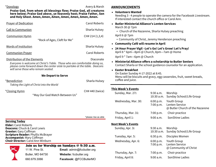| Doxology |  |
|----------|--|
|          |  |

**Praise God, from whom all blessings flow; Praise God, all creatures here below; Praise God above, ye heavenly host; Praise Father, Son and Holy Ghost. Amen, Amen, Amen, Amen, Amen, Amen, Amen.**

| <b>Prayer of Dedication</b><br><b>Carol Roberts</b>                                                                                                       |                                                                                        |                                                                                                                                                                                                                | • Butler Ministerial A                                                                                           |
|-----------------------------------------------------------------------------------------------------------------------------------------------------------|----------------------------------------------------------------------------------------|----------------------------------------------------------------------------------------------------------------------------------------------------------------------------------------------------------------|------------------------------------------------------------------------------------------------------------------|
| <b>Call to Communion</b>                                                                                                                                  |                                                                                        | Sharla Hulsey                                                                                                                                                                                                  | March 30 @ 7pm<br>* Church of the Na                                                                             |
| <b>Communion Hymn</b>                                                                                                                                     |                                                                                        | CH# 214 (1,3,4)<br>"Rock of Ages, Cleft for Me"                                                                                                                                                                | April 6 @ 7pm<br>* Community of Ch<br>• Community Café w                                                         |
| <b>Words of Institution</b><br><b>Communion Prayer</b><br>Distribution of the Elements                                                                    |                                                                                        | Sharla Hulsey<br><b>Carol Roberts</b><br>Diaconate<br>Everyone is welcome at Christ's Table. Those who are comfortable doing so,<br>please come forward down the center aisle to partake at the table. Deacons | • 24 Hour Prayer Vig<br>April 8 * 6pm-8pm<br>April 9 * 7am-6pm<br>• Ministerial Alliance<br>Contact Sharla or th |
| will serve those who remain seated.<br>*Benediction<br>Taking the Light of Christ into the World                                                          | • Easter Breakfast<br>On Easter Sunday 4-<br>Menu will be biscuit<br>coffee and juice. |                                                                                                                                                                                                                |                                                                                                                  |
| <u>*Closing Hymn</u>                                                                                                                                      |                                                                                        | <b>CH# 440 (twice)</b><br>"May Our God Watch Between Us"                                                                                                                                                       | <b>This Week's Events</b><br>Sunday, Mar. 27:<br>Wednesday, Mar. 30                                              |
| <b>Serving Today</b><br><b>Elder:</b> Carol Roberts<br><b>Deacons:</b> Chuck & Carol Lewis                                                                |                                                                                        | *please rise as able                                                                                                                                                                                           | Thursday, Mar. 31:<br>Friday, April 1:<br><b>Next Week's Events</b><br>Sunday, Apr. 3:                           |
| <b>Greeter: Gary Coffman</b><br><b>Scripture Reader: Phyllis McBrayer</b><br><b>Accompanist: Mary Coffman</b><br><b>Choir Director: Carol Ann Winburn</b> |                                                                                        |                                                                                                                                                                                                                | Tuesday, Apr. 5:<br>Wednesday, Apr. 6:                                                                           |
| 11 W. Pine St.<br>660.679.3066                                                                                                                            | Butler, MO 64730                                                                       | Join us for Worship on Sundays @ 9:30 a.m.<br>Email: admin@fccbutler.org<br>Website: fccbutler.org<br>Facebook: @FCCButlerMO                                                                                   | Thursday, Apr. 7:<br>Friday, April 8:                                                                            |

#### Avery & Marsh **ANNOUNCEMENTS**

#### • **Volunteers Wanted**

Needing 3 - 4 people to operate the camera for the Facebook Livestream. If interested contact the church office or Carol Ann.

- **Butler Ministerial Alliance's Lenten Services**
	- Izarene, Sharla Hulsey preaching
	- nrist, Jeremy Henderson preaching
- **Community Café will resume in April**
- **24 Hour Prayer Vigil –Let's Go! Let's Grow! Let's Pray!** @ Church, 8pm—7am @ Home

@ Church

• **Ministerial Alliance offers a scholarship to Butler Seniors** e school guidance counselor for an application.

-17-2022 at 8:45. ts and gravy, egg casseroles, fruit, sweet breads,

| Sunday, Mar. 27:          | 9:30 a.m.<br>10:30 a.m.   | Worship<br>Sunday School/Life Group                              |
|---------------------------|---------------------------|------------------------------------------------------------------|
| Wednesday, Mar. 30:       | 6:00 p.m.<br>7:00 p.m.    | Youth Group<br>Lenten Service<br>@ Butler Church of the Nazarene |
| Thursday, Mar. 31:        | 7:00 p.m.                 | Choir practice                                                   |
| Friday, April 1:          | 9:00 a.m.                 | SonShine Ladies                                                  |
| <b>Next Week's Events</b> |                           |                                                                  |
| Sunday, Apr. 3:           | 9:30 a.m.<br>$10:30$ a.m. | Worship<br>Sunday School/Life Group                              |
| Tuesday, Apr. 5:          | 6:30 p.m.                 | Disciples Women                                                  |
| Wednesday, Apr. 6:        | 6:00 p.m.<br>7:00 p.m.    | Youth Group<br>Lenten Service<br>@ Community of Christ           |
| Thursday, Apr. 7:         | 7:00 p.m.                 | Choir practice                                                   |
| Friday, April 8:          | 9:00 a.m.                 | SonShine Ladies                                                  |
|                           |                           |                                                                  |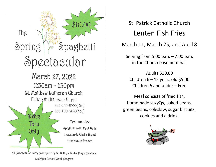

St. Patrick Catholic Church **Lenten Fish Fries** March 11, March 25, and April 8

Serving from 5:00 p.m.  $-7:00$  p.m. in the Church basement hall

**Adults \$10.00** Children  $6 - 12$  years old \$5.00 Children 5 and under - Free

Meal consists of fried fish, homemade suzyQs, baked beans, green beans, coleslaw, sugar biscuits, cookies and a drink.